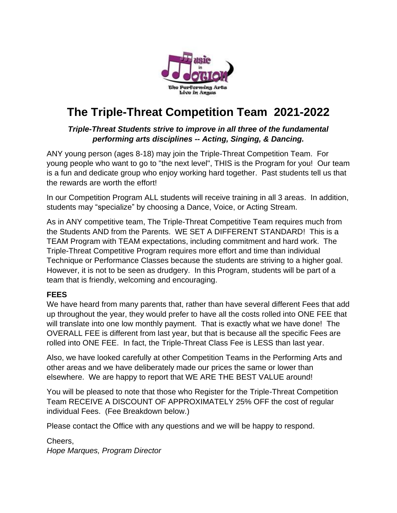

# **The Triple-Threat Competition Team 2021-2022**

### *Triple-Threat Students strive to improve in all three of the fundamental performing arts disciplines -- Acting, Singing, & Dancing.*

ANY young person (ages 8-18) may join the Triple-Threat Competition Team. For young people who want to go to "the next level", THIS is the Program for you! Our team is a fun and dedicate group who enjoy working hard together. Past students tell us that the rewards are worth the effort!

In our Competition Program ALL students will receive training in all 3 areas. In addition, students may "specialize" by choosing a Dance, Voice, or Acting Stream.

As in ANY competitive team, The Triple-Threat Competitive Team requires much from the Students AND from the Parents. WE SET A DIFFERENT STANDARD! This is a TEAM Program with TEAM expectations, including commitment and hard work. The Triple-Threat Competitive Program requires more effort and time than individual Technique or Performance Classes because the students are striving to a higher goal. However, it is not to be seen as drudgery. In this Program, students will be part of a team that is friendly, welcoming and encouraging.

#### **FEES**

We have heard from many parents that, rather than have several different Fees that add up throughout the year, they would prefer to have all the costs rolled into ONE FEE that will translate into one low monthly payment. That is exactly what we have done! The OVERALL FEE is different from last year, but that is because all the specific Fees are rolled into ONE FEE. In fact, the Triple-Threat Class Fee is LESS than last year.

Also, we have looked carefully at other Competition Teams in the Performing Arts and other areas and we have deliberately made our prices the same or lower than elsewhere. We are happy to report that WE ARE THE BEST VALUE around!

You will be pleased to note that those who Register for the Triple-Threat Competition Team RECEIVE A DISCOUNT OF APPROXIMATELY 25% OFF the cost of regular individual Fees. (Fee Breakdown below.)

Please contact the Office with any questions and we will be happy to respond.

Cheers, *Hope Marques, Program Director*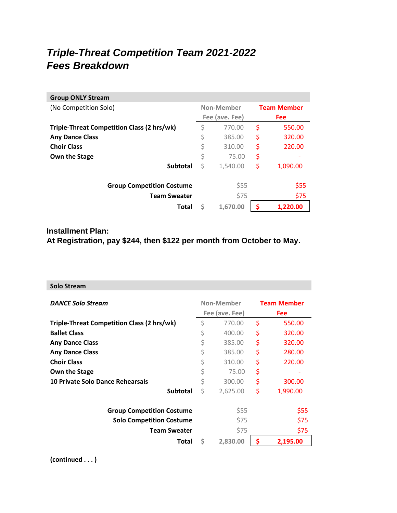# *Triple-Threat Competition Team 2021-2022 Fees Breakdown*

| <b>Group ONLY Stream</b>                   |                |          |                    |          |
|--------------------------------------------|----------------|----------|--------------------|----------|
| (No Competition Solo)                      | Non-Member     |          | <b>Team Member</b> |          |
|                                            | Fee (ave. Fee) |          | <b>Fee</b>         |          |
| Triple-Threat Competition Class (2 hrs/wk) | \$             | 770.00   | \$                 | 550.00   |
| <b>Any Dance Class</b>                     | \$             | 385.00   | \$                 | 320.00   |
| <b>Choir Class</b>                         | \$             | 310.00   | \$                 | 220.00   |
| Own the Stage                              | \$             | 75.00    | \$                 |          |
| <b>Subtotal</b>                            | \$             | 1,540.00 | \$                 | 1,090.00 |
| <b>Group Competition Costume</b>           |                | \$55     |                    | \$55     |
| <b>Team Sweater</b>                        |                | \$75     |                    | \$75     |
| Total                                      | \$             | 1,670.00 | S                  | 1.220.00 |

## **Installment Plan: At Registration, pay \$244, then \$122 per month from October to May.**

| <b>Solo Stream</b>                         |                              |          |                                  |          |
|--------------------------------------------|------------------------------|----------|----------------------------------|----------|
| <b>DANCE Solo Stream</b>                   | Non-Member<br>Fee (ave. Fee) |          | <b>Team Member</b><br><b>Fee</b> |          |
| Triple-Threat Competition Class (2 hrs/wk) | \$                           | 770.00   | \$                               | 550.00   |
| <b>Ballet Class</b>                        | \$                           | 400.00   | \$                               | 320.00   |
| <b>Any Dance Class</b>                     | \$                           | 385.00   | \$                               | 320.00   |
| <b>Any Dance Class</b>                     | \$                           | 385.00   | \$                               | 280.00   |
| <b>Choir Class</b>                         | \$                           | 310.00   | \$                               | 220.00   |
| Own the Stage                              | \$                           | 75.00    | \$                               |          |
| 10 Private Solo Dance Rehearsals           | \$                           | 300.00   | \$                               | 300.00   |
| <b>Subtotal</b>                            | Ś                            | 2,625.00 | \$                               | 1,990.00 |
| <b>Group Competition Costume</b>           |                              | \$55     |                                  | \$55     |
| <b>Solo Competition Costume</b>            |                              | \$75     |                                  | \$75     |
| <b>Team Sweater</b>                        |                              | \$75     |                                  | \$75     |
| Total                                      | Ś                            | 2,830.00 |                                  | 2,195.00 |

**(continued . . . )**